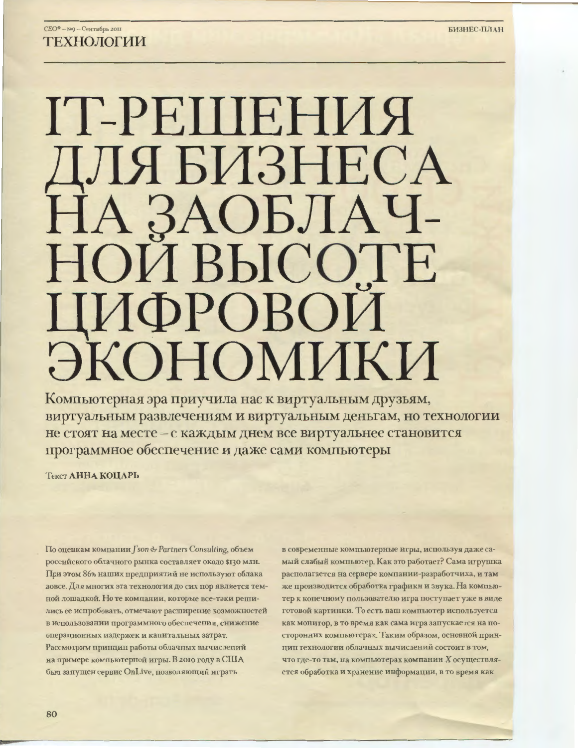# СЕО® - №9 - Сентябрь 2011 **ТЕХНОЛОГИИ**

# ІТ-РЕШЕНИЯ ДЛЯ БИЗНЕСА НАЗАОБЛАЧ-НОИ ВЫСОТЕ ЦИФРОВОИ ЭКОНОМИКИ

Компьютерная эра приучила нас к виртуальным друзьям, виртуальным развлечениям и виртуальным деньгам, но технологии не стоят на месте - с каждым днем все виртуальнее становится программное обеспечение и даже сами компьютеры

Текст АННА КОЦАРЬ

По оценкам компании J'son & Partners Consulting, объем российского облачного рынка составляет около \$130 млн. При этом 86% наших предприятий не используют облака вовсе. Для многих эта технология до сих пор является темной лошадкой. Но те компании, которые все-таки решились ее испробовать, отмечают расширение возможностей в использовании программного обеспечения, снижение операционных издержек и капитальных затрат. Рассмотрим принцип работы облачных вычислений на примере компьютерной игры. В 2010 году в США был запущен сервис OnLive, позволяющий играть

в современные компьютерные игры, используя даже самый слабый компьютер. Как это работает? Сама игрушка располагается на сервере компании-разработчика, и там же производится обработка графики и звука. На компьютер к конечному пользователю игра поступает уже в виде готовой картинки. То есть ваш компьютер используется как монитор, в то время как сама игра запускается на посторонних компьютерах. Таким образом, основной принцип технологии облачных вычислений состоит в том, что где-то там, на компьютерах компании Х осуществляется обработка и хранение информации, в то время как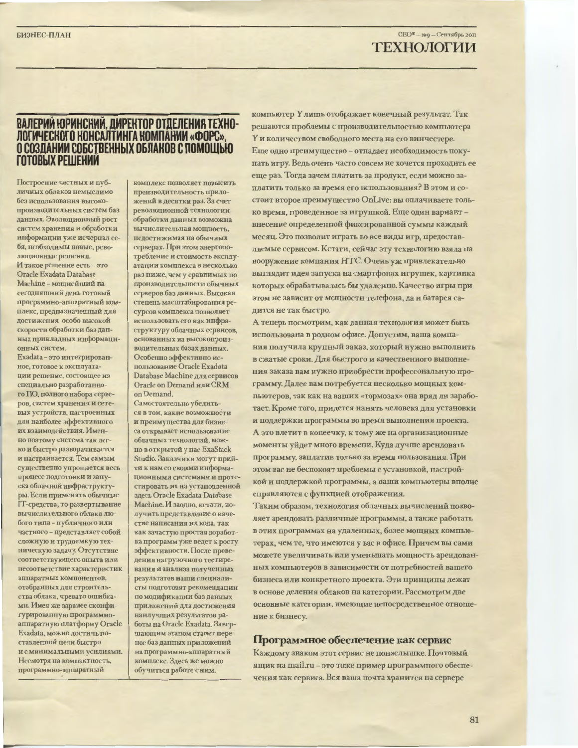# СЕО® - №9 - Сентябрь 2011 ТЕХНОЛОГИИ

## ВАЛЕРИЙ ЮРИНСКИЙ, ДИРЕКТОР ОТДЕЛЕНИЯ ТЕХНО-ЛОГИЧЕСКОГО КОНСАЛТИНГА КОМПАНИИ «ФОРС». О СОЗЛАНИИ СОБСТВЕННЫХ ОБЛАКОВ С ПОМОШЬЮ **ГОТОВЫХ РЕШЕНИИ**

Построение частных и публичных облаков немыслимо без использования высокопроизводительных систем баз ланных. Эволюционный рост систем хранения и обработки информации уже исчерпал себя, необходимы новые, революционные решения. И такое решение есть - это Oracle Exadata Database Machine - мощнейший на сегодняшний день готовый программно-анпаратный комплекс, предназначенный для достижения особо высокой скорости обработки баз данных прикладных информаци-**ОННЫХ СИСТРМ.** 

Exadata - это интегрированное, готовое к эксплуатации решение, состоящее из специально разработанного ПО, полного набора серверов, систем хранения и сетевых устройств, настроенных для наиболее эффективного их взаимодействия. Именно поэтому система так легко и быстро разворачивается и настраивается. Тем самым существенно упрощается весь процесс подготовки и запуска облачной инфраструктуры. Если применять обычные IT-средства, то развертывание вычислительного облака любого типа - публичного или частного - представляет собой сложную и трудоемкую техническую задачу. Отсутствие соответствующего опыта или несоответствие характеристик аппаратных компонентов, отобранных для строительства облака, чревато опцибками. Имея же заранее сконфигурированную программноаппаратную платформу Oracle Exadata, можно достичь поставленной цели быстро и с минимальными усилиями. Несмотря на компактность, программно-аппаратный

комплекс позволяет повысить производительность приложений в десятки раз. За счет революционной технологии обработки данных возможна вычислительная мощность, недостижимая на обычных серверах. При этом энергопотребление и стоимость эксплуатации комплекса в несколько раз ниже, чем у сравнимых по производительности обычных серверов баз данных. Высокая степень масштабирования ресурсов комплекса позволяет использовать его как инфраструктуру облачных сервисов, основанных на высокопроизводительных базах данных. Особенно эффективно использование Oracle Exadata Database Machine для сервисов Oracle on Demand или CRM on Demand.

Самостоятельно убедиться в том, какие возможности и преимущества для бизнеса открывает использование облачных технологий, можно в открытой у нас ExaStack Studio. Заказчики могут прийти к нам со своими информационными системами и протестировать их на установленной здесь Oracle Exadata Database Machine. И заодно, кстати, получить представление о качестве написания их кода, так как зачастую простая доработка программ уже ведет к росту эффективности. После проведения нагрузочного тестирования и анализа полученных результатов наши специалисты подготовят рекомендации по модификации баз данных приложений для достижения наилучших результатов работы на Oracle Exadata. Завершающим этапом станет перенос баз данных приложений на программно-аппаратный комплекс. Здесь же можно обучиться работе с ним.

компьютер Улишь отображает конечный результат. Так решаются проблемы с производительностью компьютера Y и количеством свободного места на его винчестере. Еще одно преимущество - отпадает необходимость покупать игру. Ведь очень часто совсем не хочется проходить ее еще раз. Тогда зачем платить за продукт, если можно заплатить только за время его использования? В этом и состоит второе преимущество OnLive: вы оплачиваете только время, проведенное за игрушкой. Еще один вариант внесение определенной фиксированной суммы каждый месяц. Это позволит играть во все виды игр, предоставляемые сервисом. Кстати, сейчас эту технологию взяла на вооружение компания НТС. Очень уж привлекательно выглядит идея запуска на смартфонах игрушек, картинка которых обрабатывалась бы удаленно. Качество игры при этом не зависит от мощности телефона, да и батарея садится не так быстро.

А теперь посмотрим, как данная технология может быть использована в родном офисе. Допустим, ваша компания получила крупный заказ, который нужно выполнить в сжатые сроки. Для быстрого и качественного выполнения заказа вам нужно приобрести профессональную программу. Далее вам потребуется несколько мощных компьютеров, так как на ваших «тормозах» она вряд ли заработает. Кроме того, придется нанять человека для установки и поддержки программы во время выполнения проекта. А это влетит в копеечку, к тому же на организационные моменты уйдет много времени. Куда лучше арендовать программу, заплатив только за время пользования. При этом вас не беспокоят проблемы с установкой, настройкой и поддержкой программы, а ваши компьютеры вполне справляются с функцией отображения.

Таким образом, технология облачных вычислений позволяет арендовать различные программы, а также работать в этих программах на удаленных, более мощных компьютерах, чем те, что имеются у вас в офисе. Причем вы сами можете увеличивать или уменьшать мощность арендованных компьютеров в зависимости от потребностей вашего бизнеса или конкретного проекта. Эти принципы лежат в основе деления облаков на категории. Рассмотрим две основные категории, имеющие непосредственное отношение к бизнесу.

### Программное обеспечение как сервис

Каждому знаком этот сервис не понаслышке. Почтовый ящик на mail.ru - это тоже пример программного обеспечения как сервиса. Вся ваша почта хранится на сервере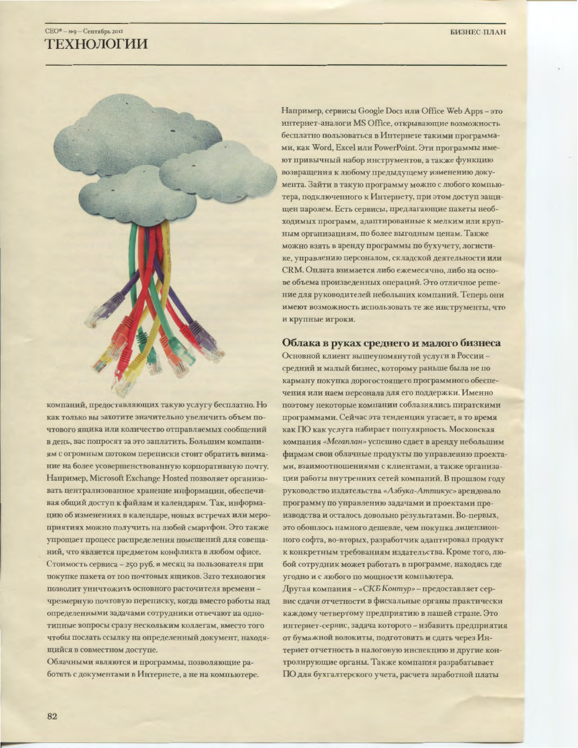# $CEO^* - PQ - C$ ентябрь 2011 **ТЕХНОЛОГИИ**



компаний, предоставляющих такую услугу бесплатно. Но как только вы захотите значительно увеличить объем почтового ящика или количество отправляемых сообщений в день, вас попросят за это заплатить. Большим компаниям с огромным потоком переписки стоит обратить внимание на более усовершенствованную корпоративную почту. Например, Microsoft Exchange Hosted позволяет организовать централизованное хранение информации, обеспечивая общий доступ к файлам и календарям. Так, информацию об изменениях в календаре, новых встречах или мероприятиях можно получить на любой смартфон. Это также упрощает процесс распределения помещений для совещаний, что является предметом конфликта в любом офисе. Стоимость сервиса - 250 руб. в месяц за пользователя при покупке пакета от 100 почтовых ящиков. Зато технология позволит уничтожить основного расточителя времени чрезмерную почтовую переписку, когда вместо работы над определенными задачами сотрудники отвечают на однотипные вопросы сразу нескольким коллегам, вместо того чтобы послать ссылку на определенный документ, находящийся в совместном доступе.

Облачными являются и программы, позволяющие работать с документами в Интернете, а не на компьютере. Например, сервисы Google Docs или Office Web Apps - это интернет-аналоги MS Office, открывающие возможность бесплатно пользоваться в Интернете такими программами, как Word, Excel или PowerPoint. Эти программы имеют привычный набор инструментов, а также функцию возвращения к любому предыдущему изменению документа. Зайти в такую программу можно с любого компьютера, подключенного к Интернету, при этом доступ защишен паролем. Есть сервисы, предлагающие пакеты необходимых программ, адаптированные к мелким или крупным организациям, по более выгодным ценам. Также можно взять в аренду программы по бухучету, логистике, управлению персоналом, складской деятельности или СRM. Оплата взимается либо ежемесячно, либо на основе объема произведенных операций. Это отличное решение для руководителей небольших компаний. Теперь они имеют возможность использовать те же инструменты, что и крупные игроки.

### Облака в руках среднего и малого бизнеса

Основной клиент вышеупомянутой услуги в Россиисредний и малый бизнес, которому раньше была не по карману покупка дорогостоящего программного обеспечения или наем персонала для его поддержки. Именно поэтому некоторые компании соблазнялись пиратскими программами. Сейчас эта тенденция угасает, в то время как ПО как услуга набирает популярность. Московская компания «Мегаплан» успешно сдает в аренду небольшим фирмам свои облачные продукты по управлению проектами, взаимоотношениями с клиентами, а также организации работы внутренних сетей компаний. В прошлом году руководство издательства «Азбука-Аттикус» арендовало программу по управлению задачами и проектами производства и осталось довольно результатами. Во-первых, это обошлось намного дешевле, чем покупка лицензионного софта, во-вторых, разработчик адаптировал продукт к конкретным требованиям издательства. Кроме того, любой сотрудник может работать в программе, находясь где угодно и с любого по мощности компьютера.

Другая компания - «СКБ Контур» - предоставляет сервис сдачи отчетности в фискальные органы практически каждому четвертому предприятию в нашей стране. Это интернет-сервис, задача которого - избавить предприятия от бумажной волокиты, подготовить и сдать через Интернет отчетность в налоговую инспекцию и другие контролирующие органы. Также компания разрабатывает ПО для бухгалтерского учета, расчета заработной платы